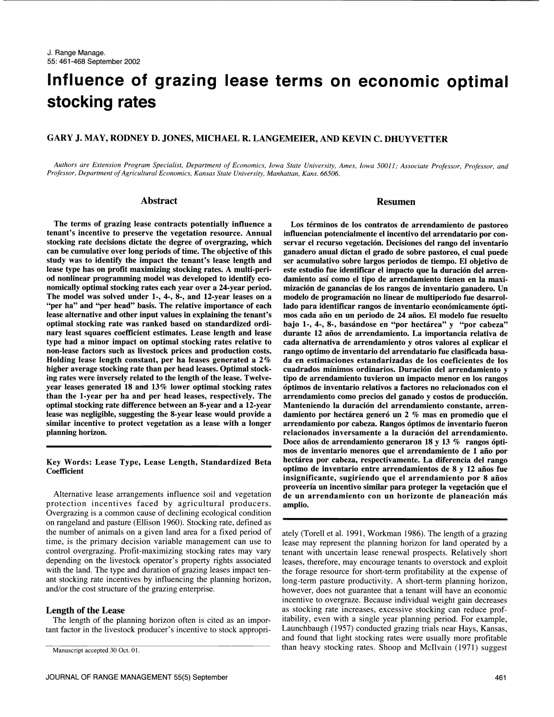# Influence of grazing lease terms on economic optimal stocking rates

# GARY J. MAY, RODNEY D. JONES, MICHAEL R. LANGEMEIER, AND KEVIN C. DHUYVETTER

Authors are Extension Program Specialist, Department of Economics, Iowa State University, Ames, Iowa 50011; Associate Professor, Professor, and Professor, Department of Agricultural Economics, Kansas State University, Manhattan, Kans. 66506.

#### Abstract

The terms of grazing lease contracts potentially influence a tenant's incentive to preserve the vegetation resource. Annual stocking rate decisions dictate the degree of overgrazing, which can be cumulative over long periods of time. The objective of this study was to identify the impact the tenant's lease length and ser acumulativo sobre largos periodos de tiempo. El objetivo de lease type has on profit maximizing stocking rates. A multi-period nonlinear programming model was developed to identify eco nomically optimal stocking rates each year over a 24-year period. The model was solved under 1-, 4-, 8-, and 12-year leases on a modelo de programación no linear de multiperiodo fue desarrol-<br>"per ha" and "per head" basis. The relative importance of each lado para identificar rangos de i lease alternative and other input values in explaining the tenant's optimal stocking rate was ranked based on standardized ordinary least squares coefficient estimates. Lease length and lease type had a minor impact on optimal stocking rates relative to non-lease factors such as livestock prices and production costs. Holding lease length constant, per ha leases generated a 2% higher average stocking rate than per head leases. Optimal stocking rates were inversely related to the length of the lease. Twelveyear leases generated 18 and 13% lower optimal stocking rates than the 1-year per ha and per head leases, respectively. The optimal stocking rate difference between an 8-year and a 12-year lease was negligible, suggesting the 8-year lease would provide a similar incentive to protect vegetation as a lease with a longer planning horizon.

#### Key Words: Lease Type, Lease Length, Standardized Beta **Coefficient**

Alternative lease arrangements influence soil and vegetation protection incentives faced by agricultural producers. Overgrazing is a common cause of declining ecological condition on rangeland and pasture (Ellison 1960). Stocking rate, defined as the number of animals on a given land area for a fixed period of time, is the primary decision variable management can use to control overgrazing. Profit-maximizing stocking rates may vary depending on the livestock operator's property rights associated with the land. The type and duration of grazing leases impact tenant stocking rate incentives by influencing the planning horizon, and/or the cost structure of the grazing enterprise.

#### Length of the Lease

The length of the planning horizon often is cited as an important factor in the livestock producer's incentive to stock appropri-

## Resumen

Los términos de los contratos de arrendamiento de pastoreo servar el recurso vegetación. Decisiones del rango del inventario ganadero anual dictan el grado de sobre pastoreo, el cual puede este estudio fue identificar el impacto que la duración del arrendamiento asi como el tipo de arrendamiento tienen en la maximizacion de ganancias de los rangos de inventario ganadero. Un modelo de programacion no linear de multiperiodo fue desarrolmos cada año en un periodo de 24 años. El modelo fue resuelto bajo 1-, 4-, 8-, basándose en "por hectárea" y "por cabeza" durante 12 años de arrendamiento. La importancia relativa de cada alternativa de arrendamiento y otros valores at explicar el rango optimo de inventario del arrendatario fue clasificada basada en estimaciones estandarizadas de los coeficientes de los tipo de arrendamiento tuvieron un impacto menor en los rangos optimos de inventario relativos a factores no relacionados con el arrendamiento como precios del ganado y costos de produccion. Manteniendo la duración del arrendamiento constante, arrendamiento por hectárea generó un 2 % mas en promedio que el arrendamiento por cabeza. Rangos optimos de inventario fueron relacionados inversamente a la duracion del arrendamiento. Doce años de arrendamiento generaron 18 y 13 % rangos ópti-<br>mos de inventario menores que el arrendamiento de 1 año por hectárea por cabeza, respectivamente. La diferencia del rango optimo de inventario entre arrendamientos de 8 y 12 años fue insignificante, sugiriendo que el arrendamiento por 8 años proveería un incentivo similar para proteger la vegetación que el de un arrendamiento con un horizonte de planeación más amplio.

ately (Torell et al. 1991, Workman 1986). The length of a grazing lease may represent the planning horizon for land operated by a tenant with uncertain lease renewal prospects. Relatively short leases, therefore, may encourage tenants to overstock and exploit the forage resource for short-term profitability at the expense of long-term pasture productivity. A short-term planning horizon, however, does not guarantee that a tenant will have an economic incentive to overgraze. Because individual weight gain decreases as stocking rate increases, excessive stocking can reduce profitability, even with a single year planning period. For example, Launchbaugh (1957) conducted grazing trials near Hays, Kansas, and found that light stocking rates were usually more profitable than heavy stocking rates. Shoop and McIlvain (1971) suggest

Manuscript accepted 30 Oct. 01.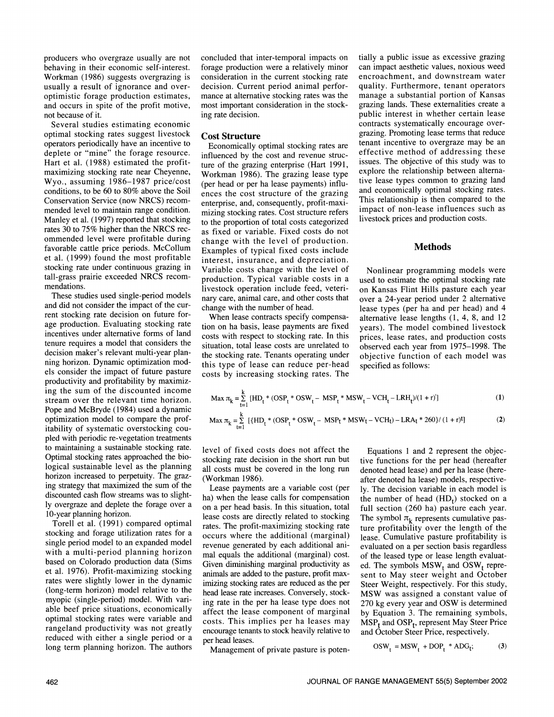behaving in their economic self-interest. Workman (1986) suggests overgrazing is usually a result of ignorance and overoptimistic forage production estimates, and occurs in spite of the profit motive, not because of it.

Several studies estimating economic optimal stocking rates suggest livestock operators periodically have an incentive to deplete or "mine" the forage resource. Hart et al. (1988) estimated the profitmaximizing stocking rate near Cheyenne, Wyo., assuming 1986-1987 price/cost conditions, to be 60 to 80% above the Soil Conservation Service (now NRCS) recom- mended level to maintain range condition. Manley et al. (1997) reported that stocking rates 30 to 75% higher than the NRCS rec ommended level were profitable during favorable cattle price periods. McCollum et al. (1999) found the most profitable stocking rate under continuous grazing in tall-grass prairie exceeded NRCS recom- mendations.

These studies used single-period models and did not consider the impact of the cur rent stocking rate decision on future forage production. Evaluating stocking rate incentives under alternative forms of land tenure requires a model that considers the decision maker's relevant multi-year planning horizon. Dynamic optimization models consider the impact of future pasture productivity and profitability by maximizing the sum of the discounted income stream over the relevant time horizon. Pope and McBryde (1984) used a dynamic optimization model to compare the profitability of systematic overstocking cou pled with periodic re-vegetation treatments to maintaining a sustainable stocking rate. Optimal stocking rates approached the biological sustainable level as the planning horizon increased to perpetuity. The grazforizon increased to perpetuity. The graz-<br>ing strategy that maximized the sum of the  $\frac{1}{1}$  asses payments discounted cash flow streams was to slightly overgraze and deplete the forage over a 10-year planning horizon.

Torell et al. (1991) compared optimal stocking and forage utilization rates for a single period model to an expanded model with a multi-period planning horizon based on Colorado production data (Sims et al. 1976). Profit-maximizing stocking rates were slightly lower in the dynamic (long-term horizon) model relative to the myopic (single-period) model. With variable beef price situations, economically optimal stocking rates were variable and rangeland productivity was not greatly reduced with either a single period or a long term planning horizon. The authors

producers who overgraze usually are not forage production were a relatively minor consideration in the current stocking rate decision. Current period animal perfor mance at alternative stocking rates was the most important consideration in the stocking rate decision.

## Cost Structure

Economically optimal stocking rates are influenced by the cost and revenue structure of the grazing enterprise (Hart 1991, Workman 1986). The grazing lease type (per head or per ha lease payments) influences the cost structure of the grazing enterprise, and, consequently, profit-maximizing stocking rates. Cost structure refers to the proportion of total costs categorized as fixed or variable. Fixed costs do not change with the level of production. Examples of typical fixed costs include interest, insurance, and depreciation. Variable costs change with the level of production. Typical variable costs in a livestock operation include feed, veterinary care, animal care, and other costs that change with the number of head.

When lease contracts specify compensation on ha basis, lease payments are fixed costs with respect to stocking rate. In this situation, total lease costs are unrelated to the stocking rate. Tenants operating under this type of lease can reduce per-head costs by increasing stocking rates. The

tially a public issue as excessive grazing can impact aesthetic values, noxious weed encroachment, and downstream water quality. Furthermore, tenant operators manage a substantial portion of Kansas grazing lands. These extemalities create a public interest in whether certain lease contracts systematically encourage over-<br>grazing. Promoting lease terms that reduce tenant incentive to overgraze may be an effective method of addressing these issues. The objective of this study was to explore the relationship between alternative lease types common to grazing land and economically optimal stocking rates. This relationship is then compared to the impact of non-lease influences such as livestock prices and production costs.

## **Methods**

Nonlinear programming models were<br>used to estimate the optimal stocking rate on Kansas Flint Hills pasture each year over a 24-year period under 2 alternative lease types (per ha and per head) and 4 alternative lease lengths (1, 4, 8, and 12 years). The model combined livestock prices, lease rates, and production costs observed each year from 1975-1998. The objective function of each model was specified as follows:

$$
\text{Max } \pi_{k} = \sum_{t=1}^{k} \left[ \text{HD}_{t} * (\text{OSP}_{t} * \text{OSW}_{t} - \text{MSP}_{t} * \text{MSW}_{t} - \text{VCH}_{t} - \text{LRH}_{t}) / (1+r)^{t} \right] \tag{1}
$$
\n
$$
\text{Max } \pi_{k} = \sum_{t=1}^{k} \left[ \left\{ \text{HD}_{t} * (\text{OSP}_{t} * \text{OSW}_{t} - \text{MSP}_{t} * \text{MSW}_{t} - \text{VCH}_{t}) - \text{LRA}_{t} * 260 \right\} / (1+r)^{t} \right] \tag{2}
$$

level of fixed costs does not affect the stocking rate decision in the short run but all costs must be covered in the long run

Lease payments are a variable cost (per ha) when the lease calls for compensation on a per head basis. In this situation, total lease costs are directly related to stocking rates. The profit-maximizing stocking rate occurs where the additional (marginal) revenue generated by each additional animal equals the additional (marginal) cost. Given diminishing marginal productivity as imizing stocking rates are reduced as the per head lease rate increases. Conversely, stocking rate in the per ha lease type does not affect the lease component of marginal costs. This implies per ha leases may encourage tenants to stock heavily relative to per head leases.

Management of private pasture is poten-

Equations 1 and 2 represent the objective functions for the per head (hereafter denoted head lease) and per ha lease (hereafter denoted ha lease) models, respectively. The decision variable in each model is the number of head  $(HD_t)$  stocked on a full section (260 ha) pasture each year. The symbol  $\pi_k$  represents cumulative pasture profitability over the length of the lease. Cumulative pasture profitability is evaluated on a per section basis regardless of the leased type or lease length evaluated. The symbols  $MSW_t$  and  $OSW_t$  represent to May steer weight and October Steer Weight, respectively. For this study, MSW was assigned a constant value of 270 kg every year and 05W is determined by Equation 3. The remaining symbols,  $MSP_t$  and  $OSP_t$ , represent May Steer Price and October Steer Price, respectively.

$$
OSW_t = MSW_t + DOP_t * ADG_t; \t(3)
$$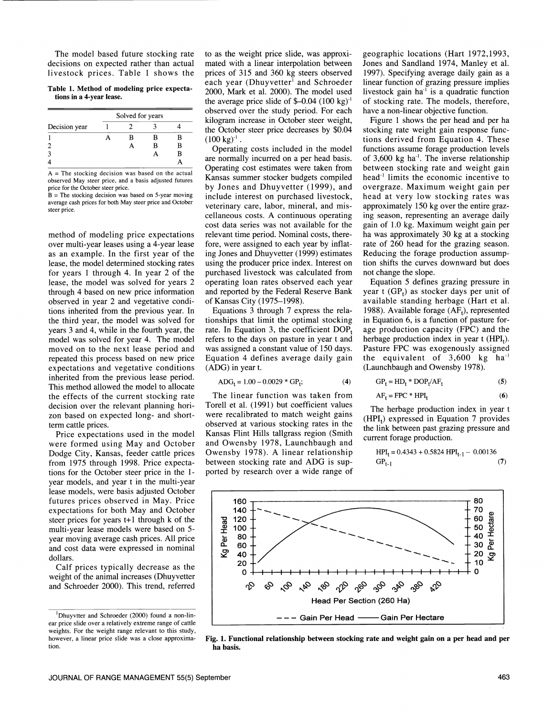The model based future stocking rate decisions on expected rather than actual livestock prices. Table 1 shows the

Table 1. Method of modeling price expectations in a 4-year lease.

|               | Solved for years |  |  |  |  |
|---------------|------------------|--|--|--|--|
| Decision year |                  |  |  |  |  |
| В<br>В        |                  |  |  |  |  |
| B             | в                |  |  |  |  |
|               | в                |  |  |  |  |
|               |                  |  |  |  |  |

 $A =$  The stocking decision was based on the actual observed May steer price, and a basis adjusted futures price for the October steer price.

 $B =$  The stocking decision was based on 5-year moving average cash prices for both May steer price and October steer price.

method of modeling price expectations over multi-year leases using a 4-year lease as an example. In the first year of the lease, the model determined stocking rates for years 1 through 4. In year 2 of the lease, the model was solved for years 2 through 4 based on new price information observed in year 2 and vegetative conditions inherited from the previous year. In the third year, the model was solved for years 3 and 4, while in the fourth year, the model was solved for year 4. The model moved on to the next lease period and repeated this process based on new price expectations and vegetative conditions inherited from the previous lease period. This method allowed the model to allocate the effects of the current stocking rate The linear function was taken from decision over the relevant planning hori-<br>Torell et al. (1991) but coefficient values zon based on expected long- and shortterm cattle prices.

Price expectations used in the model were formed using May and October Dodge City, Kansas, feeder cattle prices from 1975 through 1998. Price expectations for the October steer price in the 1 year models, and year t in the multi-year lease models, were basis adjusted October futures prices observed in May. Price expectations for both May and October steer prices for years t+l through k of the multi-year lease models were based on 5 year moving average cash prices. All price and cost data were expressed in nominal dollars.

Calf prices typically decrease as the weight of the animal increases (Dhuyvetter and Schroeder 2000). This trend, referred to as the weight price slide, was approximated with a linear interpolation between prices of 315 and 360 kg steers observed each year (Dhuyvetter<sup>1</sup> and Schroeder 2000, Mark et al. 2000). The model used the average price slide of  $$-0.04$  (100 kg)<sup>-1</sup> observed over the study period. For each kilogram increase in October steer weight, the October steer price decreases by \$0.04  $(100 \text{ kg})^{-1}$ .

Operating costs included in the model are normally incurred on a per head basis. Operating cost estimates were taken from Kansas summer stocker budgets compiled by Jones and Dhuyvetter (1999), and include interest on purchased livestock, veterinary care, labor, mineral, and miscellaneous costs. A continuous operating cost data series was not available for the relevant time period. Nominal costs, therefore, were assigned to each year by inflating Jones and Dhuyvetter (1999) estimates using the producer price index. Interest on purchased livestock was calculated from operating loan rates observed each year and reported by the Federal Reserve Bank of Kansas City (1975-1998).

Equations 3 through 7 express the relationships that limit the optimal stocking rate. In Equation 3, the coefficient  $DOP<sub>t</sub>$ refers to the days on pasture in year t and was assigned a constant value of 150 days. Equation 4 defines average daily gain (ADG) in year t.

$$
ADG_t = 1.00 - 0.0029 * GP_t; \tag{4}
$$

The linear function was taken from were recalibrated to match weight gains observed at various stocking rates in the Kansas Flint Hills tallgrass region (Smith and Owensby 1978, Launchbaugh and Owensby 1978). A linear relationship between stocking rate and ADG is supported by research over a wide range of geographic locations (Hart 1972,1993, Jones and Sandland 1974, Manley et al. 1997). Specifying average daily gain as a linear function of grazing pressure implies livestock gain ha $^{-1}$  is a quadratic function of stocking rate. The models, therefore, have a non-linear objective function.

Figure 1 shows the per head and per ha stocking rate weight gain response functions derived from Equation 4. These functions assume forage production levels of 3,600 kg ha'. The inverse relationship between stocking rate and weight gain head' limits the economic incentive to overgraze. Maximum weight gain per head at very low stocking rates was approximately 150 kg over the entire grazing season, representing an average daily gain of 1.0 kg. Maximum weight gain per ha was approximately 30 kg at a stocking rate of 260 head for the grazing season. Reducing the forage production assumption shifts the curves downward but does not change the slope.

Equation 5 defines grazing pressure in year t  $(GP_t)$  as stocker days per unit of available standing herbage (Hart et al. 1988). Available forage  $(AF_t)$ , represented in Equation 6, is a function of pasture forage production capacity (FPC) and the herbage production index in year  $t$  (HPI<sub>t</sub>). Pasture FPC was exogenously assigned the equivalent of 3,600 kg ha' (Launchbaugh and Owensby 1978).

$$
GPt = HDt * DOPt/AFt
$$
 (5)

$$
AF_t = FPC * HPI_t \tag{6}
$$

The herbage production index in year t  $(HPI<sub>t</sub>)$  expressed in Equation 7 provides the link between past grazing pressure and current forage production.

$$
HPI_t = 0.4343 + 0.5824 HPI_{t-1} - 0.00136
$$
  
GP<sub>t-1</sub> (7)



Fig. L Functional relationship between stocking rate and weight gain on a per head and per ha basis.

<sup>&#</sup>x27;Dhuyvtter and Schroeder (2000) found a non-lin ear price slide over a relatively extreme range of cattle weights. For the weight range relevant to this study, however, a linear price slide was a close approximation.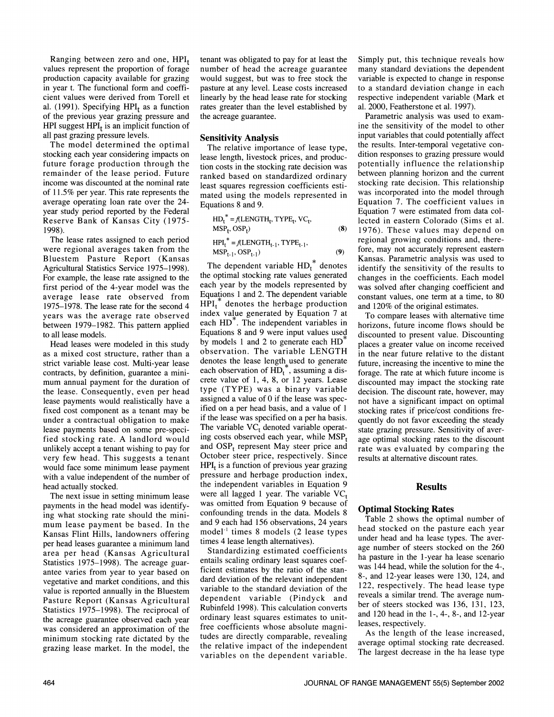Ranging between zero and one,  $HPI_t$ values represent the proportion of forage production capacity available for grazing in year t. The functional form and coefficient values were derived from Torell et al. (1991). Specifying  $HPI_t$  as a function of the previous year grazing pressure and HPI suggest  $HPI_t$  is an implicit function of all past grazing pressure levels.

The model determined the optimal stocking each year considering impacts on future forage production through the remainder of the lease period. Future income was discounted at the nominal rate of 11.5% per year. This rate represents the average operating loan rate over the 24 year study period reported by the Federal Reserve Bank of Kansas City (1975- 1998).

The lease rates assigned to each period were regional averages taken from the Bluestem Pasture Report (Kansas Agricultural Statistics Service 1975-1998). For example, the lease rate assigned to the first period of the 4-year model was the average lease rate observed from 1975-1978. The lease rate for the second 4 years was the average rate observed between 1979-1982. This pattern applied to all lease models.

Head leases were modeled in this study as a mixed cost structure, rather than a strict variable lease cost. Multi-year lease contracts, by definition, guarantee a mini- mum annual payment for the duration of the lease. Consequently, even per head lease payments would realistically have a fixed cost component as a tenant may be under a contractual obligation to make lease payments based on some pre-specified stocking rate. A landlord would unlikely accept a tenant wishing to pay for very few head. This suggests a tenant would face some minimum lease payment with a value independent of the number of head actually stocked.

payments in the head model was identifying what stocking rate should the minimum lease payment be based. In the Kansas Flint Hills, landowners offering per head leases guarantee a minimum land area per head (Kansas Agricultural Statistics 1975-1998). The acreage guarantee varies from year to year based on vegetative and market conditions, and this value is reported annually in the Bluestem Pasture Report (Kansas Agricultural Statistics 1975–1998). The reciprocal of the acreage guarantee observed each vear was considered an approximation of the minimum stocking rate dictated by the grazing lease market. In the model, the tenant was obligated to pay for at least the number of head the acreage guarantee would suggest, but was to free stock the pasture at any level. Lease costs increased linearly by the head lease rate for stocking rates greater than the level established by the acreage guarantee.

#### Sensitivity Analysis

The relative importance of lease type, lease length, livestock prices, and production costs in the stocking rate decision was ranked based on standardized ordinary least squares regression coefficients estimated using the models represented in Equations 8 and 9.

$$
HD_t^* = f(LENGTH_t, TYPE_t, VC_t, \nMSP_t, OSP_t) \n(B) \nIPH_t^* = f(LENGTH_{t-1}, TYPE_{t-1}, \nMSP_{t-1}, OSP_{t-1}) \n(9) \nfor
$$

The next issue in setting minimum lease were all lagged 1 year. The variable  $VC<sub>t</sub>$ The dependent variable  $HD_t^*$  denotes the optimal stocking rate values generated each year by the models represented by Equations 1 and 2. The dependent variable  $HPI<sub>t</sub>$ <sup>\*</sup> denotes the herbage production index value generated by Equation 7 at each HD<sup>\*</sup>. The independent variables in Equations 8 and 9 were input values used by models 1 and 2 to generate each HD<sup>\*</sup> observation. The variable LENGTH denotes the lease length used to generate each observation of  $HD_t^*$ , assuming a discrete value of 1, 4, 8, or 12 years. Lease type (TYPE) was a binary variable assigned a value of 0 if the lease was specified on a per head basis, and a value of 1 if the lease was specified on a per ha basis. The variable  $VC_t$  denoted variable operating costs observed each year, while  $MSP_t$ and  $OSP_t$  represent May steer price and October steer price, respectively. Since  $HPI_t$  is a function of previous year grazing pressure and herbage production index, the independent variables in Equation 9 was omitted from Equation 9 because of confounding trends in the data. Models 8 and 9 each had 156 observations, 24 years model<sup>-1</sup> times 8 models (2 lease types and stocked on the pasture each year<br>times 4 lease length alternatives) under head and ha lease types. The avertimes 4 lease length alternatives).

> Standardizing estimated coefficients entails scaling ordinary least squares coefficient estimates by the ratio of the standard deviation of the relevant independent variable to the standard deviation of the dependent variable (Pindyck and Rubinfeld 1998). This calculation converts ordinary least squares estimates to unitfree coefficients whose absolute magnitudes are directly comparable, revealing the relative impact of the independent variables on the dependent variable.

Simply put, this technique reveals how many standard deviations the dependent variable is expected to change in response to a standard deviation change in each respective independent variable (Mark et al. 2000, Featherstone et al. 1997).

Parametric analysis was used to exam-<br>ine the sensitivity of the model to other input variables that could potentially affect the results. Inter-temporal vegetative con dition responses to grazing pressure would potentially influence the relationship between planning horizon and the current stocking rate decision. This relationship was incorporated into the model through Equation 7. The coefficient values in Equation 7 were estimated from data collected in eastern Colorado (Sims et al. 1976). These values may depend on regional growing conditions and, therefore, may not accurately represent eastern Kansas. Parametric analysis was used to identify the sensitivity of the results to changes in the coefficients. Each model was solved after changing coefficient and constant values, one term at a time, to 80 and 120% of the original estimates.

To compare leases with alternative time horizons, future income flows should be discounted to present value. Discounting places a greater value on income received in the near future relative to the distant future, increasing the incentive to mine the forage. The rate at which future income is discounted may impact the stocking rate decision. The discount rate, however, may not have a significant impact on optimal stocking rates if price/cost conditions frequently do not favor exceeding the steady state grazing pressure. Sensitivity of aver- age optimal stocking rates to the discount rate was evaluated by comparing the results at alternative discount rates.

#### Results

#### Optimal Stocking Rates

Table 2 shows the optimal number of head stocked on the pasture each year age number of steers stocked on the 260 ha pasture in the 1-year ha lease scenario was 144 head, while the solution for the 4-, 8-, and 12-year leases were 130, 124, and 122, respectively. The head lease type reveals a similar trend. The average num ber of steers stocked was 136, 131, 123, and 120 head in the 1-, 4-, 8-, and 12-year leases, respectively.

As the length of the lease increased, average optimal stocking rate decreased. The largest decrease in the ha lease type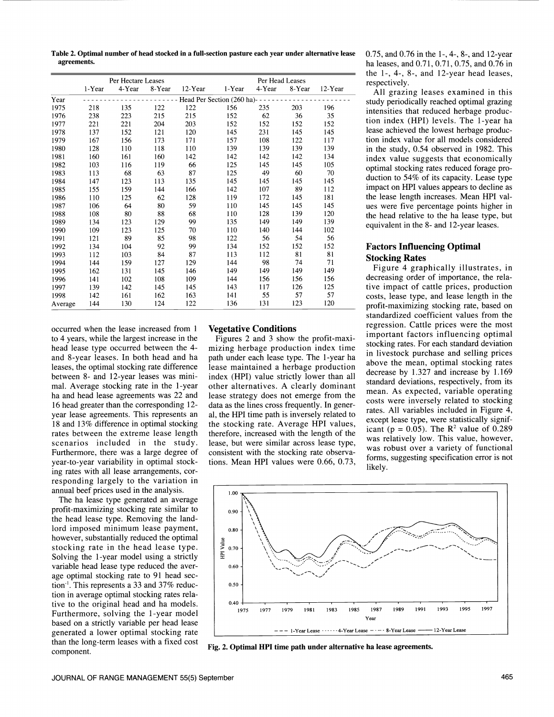Table 2. Optimal number of head stocked in a full-section pasture each year under alternative lease agreements.

|         | Per Hectare Leases                       |        |        |            |        | Per Head Leases |        |         |  |  |
|---------|------------------------------------------|--------|--------|------------|--------|-----------------|--------|---------|--|--|
|         | 1-Year                                   | 4-Year | 8-Year | $12$ -Year | 1-Year | 4-Year          | 8-Year | 12-Year |  |  |
| Year    | Head Per Section $(260 \text{ ha})$ ---- |        |        |            |        |                 |        |         |  |  |
| 1975    | 218                                      | 135    | 122    | 122        | 156    | 235             | 203    | 196     |  |  |
| 1976    | 238                                      | 223    | 215    | 215        | 152    | 62              | 36     | 35      |  |  |
| 1977    | 221                                      | 221    | 204    | 203        | 152    | 152             | 152    | 152     |  |  |
| 1978    | 137                                      | 152    | 121    | 120        | 145    | 231             | 145    | 145     |  |  |
| 1979    | 167                                      | 156    | 173    | 171        | 157    | 108             | 122    | 117     |  |  |
| 1980    | 128                                      | 110    | 118    | 110        | 139    | 139             | 139    | 139     |  |  |
| 1981    | 160                                      | 161    | 160    | 142        | 142    | 142             | 142    | 134     |  |  |
| 1982    | 103                                      | 116    | 119    | 66         | 125    | 145             | 145    | 105     |  |  |
| 1983    | 113                                      | 68     | 63     | 87         | 125    | 49              | 60     | 70      |  |  |
| 1984    | 147                                      | 123    | 113    | 135        | 145    | 145             | 145    | 145     |  |  |
| 1985    | 155                                      | 159    | 144    | 166        | 142    | 107             | 89     | 112     |  |  |
| 1986    | 110                                      | 125    | 62     | 128        | 119    | 172             | 145    | 181     |  |  |
| 1987    | 106                                      | 64     | 80     | 59         | 110    | 145             | 145    | 145     |  |  |
| 1988    | 108                                      | 80     | 88     | 68         | 110    | 128             | 139    | 120     |  |  |
| 1989    | 134                                      | 123    | 129    | 99         | 135    | 149             | 149    | 139     |  |  |
| 1990    | 109                                      | 123    | 125    | 70         | 110    | 140             | 144    | 102     |  |  |
| 1991    | 121                                      | 89     | 85     | 98         | 122    | 56              | 54     | 56      |  |  |
| 1992    | 134                                      | 104    | 92     | 99         | 134    | 152             | 152    | 152     |  |  |
| 1993    | 112                                      | 103    | 84     | 87         | 113    | 112             | 81     | 81      |  |  |
| 1994    | 144                                      | 159    | 127    | 129        | 144    | 98              | 74     | 71      |  |  |
| 1995    | 162                                      | 131    | 145    | 146        | 149    | 149             | 149    | 149     |  |  |
| 1996    | 141                                      | 102    | 108    | 109        | 144    | 156             | 156    | 156     |  |  |
| 1997    | 139                                      | 142    | 145    | 145        | 143    | 117             | 126    | 125     |  |  |
| 1998    | 142                                      | 161    | 162    | 163        | 141    | 55              | 57     | 57      |  |  |
| Average | 144                                      | 130    | 124    | 122        | 136    | 131             | 123    | 120     |  |  |

occurred when the lease increased from 1 to 4 years, while the largest increase in the head lease type occurred between the 4 and 8-year leases. In both head and ha leases, the optimal stocking rate difference between 8- and 12-year leases was minimal. Average stocking rate in the 1-year ha and head lease agreements was 22 and 16 head greater than the corresponding 12 year lease agreements. This represents an 18 and 13% difference in optimal stocking rates between the extreme lease length scenarios included in the study. Furthermore, there was a large degree of year-to-year variability in optimal stocking rates with all lease arrangements, cor responding largely to the variation in annual beef prices used in the analysis.

The ha lease type generated an average profit-maximizing stocking rate similar to the head lease type. Removing the landlord imposed minimum lease payment, however, substantially reduced the optimal stocking rate in the head lease type.<br>Solving the 1-year model using a strictly Solving the 1-year model using a strictly variable head lease type reduced the aver age optimal stocking rate to 91 head sec tion<sup>-1</sup>. This represents a 33 and 37% reduction in average optimal stocking rates relative to the original head and ha models. Furthermore, solving the 1-year model based on a strictly variable per head lease generated a lower optimal stocking rate than the long-term leases with a fixed cost component.

## Vegetative Conditions

Figures 2 and 3 show the profit-maximizing herbage production index time path under each lease type. The 1-year ha lease maintained a herbage production index (HPI) value strictly lower than all other alternatives. A clearly dominant lease strategy does not emerge from the data as the lines cross frequently. In general, the HPI time path is inversely related to the stocking rate. Average HPI values, therefore, increased with the length of the  $\frac{1}{2}$  increased with the length of the strain (p = 0.05). The K<sup>-</sup> value of 0.289 lease, but were similar across lease type, consistent with the stocking rate observations. Mean HPI values were 0.66, 0.73,

0.75, and 0.76 in the 1-, 4-, 8-, and 12-year ha leases, and 0.71, 0.71, 0.75, and 0.76 in the 1-, 4-, 8-, and 12-year head leases, respectively.

All grazing leases examined in this study periodically reached optimal grazing intensities that reduced herbage production index (HPI) levels. The 1-year ha lease achieved the lowest herbage production index value for all models considered in the study, 0.54 observed in 1982. This index value suggests that economically optimal stocking rates reduced forage production to 54% of its capacity. Lease type impact on HPI values appears to decline as the lease length increases. Mean HPI val- ues were five percentage points higher in the head relative to the ha lease type, but equivalent in the 8- and 12-year leases.

# Factors Influencing Optimal Stocking Rates

Figure 4 graphically illustrates, in decreasing order of importance, the relative impact of cattle prices, production costs, lease type, and lease length in the profit-maximizing stocking rate, based on standardized coefficient values from the regression. Cattle prices were the most important factors influencing optimal stocking rates. For each standard deviation in livestock purchase and selling prices above the mean, optimal stocking rates decrease by 1.327 and increase by 1.169 standard deviations, respectively, from its mean. As expected, variable operating costs were inversely related to stocking rates. All variables included in Figure 4, except lease type, were statistically significant (p = 0.05). The  $\mathbb{R}^2$  value of 0.289 was robust over a variety of functional forms, suggesting specification error is not likely.



Fig. 2. Optimal HPI time path under alternative ha lease agreements.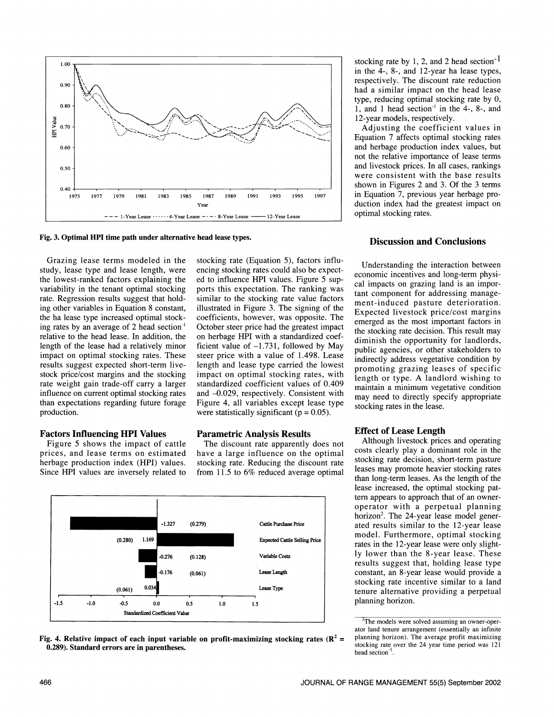

Fig. 3. Optimal HPI time path under alternative head lease types.

Grazing lease terms modeled in the study, lease type and lease length, were the lowest-ranked factors explaining the variability in the tenant optimal stocking rate. Regression results suggest that holding other variables in Equation 8 constant, the ha lease type increased optimal stocking rates by an average of 2 head section<sup>-1</sup> October steer price had the greatest impact relative to the head lease. In addition, the length of the lease had a relatively minor impact on optimal stocking rates. These results suggest expected short-term livestock price/cost margins and the stocking rate weight gain trade-off carry a larger influence on current optimal stocking rates than expectations regarding future forage production.

# Factors Influencing HP! Values

Figure 5 shows the impact of cattle prices, and lease terms on estimated herbage production index (HPI) values. Since HPI values are inversely related to

stocking rate (Equation 5), factors influencing stocking rates could also be expected to influence HPI values. Figure 5 supports this expectation. The ranking was similar to the stocking rate value factors illustrated in Figure 3. The signing of the coefficients, however, was opposite. The on herbage HPI with a standardized coefficient value of  $-1.731$ , followed by May steer price with a value of 1.498. Lease length and lease type carried the lowest impact on optimal stocking rates, with standardized coefficient values of 0.409 and -0.029, respectively. Consistent with Figure 4, all variables except lease type were statistically significant ( $p = 0.05$ ).

## Parametric Analysis Results

The discount rate apparently does not have a large influence on the optimal stocking rate. Reducing the discount rate from 11.5 to 6% reduced average optimal





stocking rate by 1, 2, and 2 head section<sup>-1</sup> in the 4-, 8-, and 12-year ha lease types, respectively. The discount rate reduction had a similar impact on the head lease type, reducing optimal stocking rate by 0, 1, and 1 head section' in the 4-, 8-, and 12-year models, respectively.

Adjusting the coefficient values in Equation 7 affects optimal stocking rates and herbage production index values, but not the relative importance of lease terms and livestock prices. In all cases, rankings were consistent with the base results shown in Figures 2 and 3. Of the 3 terms in Equation 7, previous year herbage production index had the greatest impact on optimal stocking rates.

#### Discussion and Conclusions

Understanding the interaction between economic incentives and long-term physical impacts on grazing land is an important component for addressing management-induced pasture deterioration. Expected livestock price/cost margins emerged as the most important factors in the stocking rate decision. This result may diminish the opportunity for landlords, public agencies, or other stakeholders to indirectly address vegetative condition by promoting grazing leases of specific length or type. A landlord wishing to maintain a minimum vegetative condition may need to directly specify appropriate stocking rates in the lease.

#### Effect of Lease Length

Although livestock prices and operating costs clearly play a dominant role in the stocking rate decision, short-term pasture leases may promote heavier stocking rates than long-term leases. As the length of the lease increased, the optimal stocking pattern appears to approach that of an owner- operator with a perpetual planning horizon<sup>2</sup>. The 24-year lease model generated results similar to the 12-year lease model. Furthermore, optimal stocking rates in the 12-year lease were only slightly lower than the 8-year lease. These results suggest that, holding lease type constant, an 8-year lease would provide a stocking rate incentive similar to a land tenure alternative providing a perpetual planning horizon.

 $T$ The models were solved assuming an owner-oper- ator land tenure arrangement (essentially an infinite planning horizon). The average profit maximizing stocking rate over the 24 year time period was 121 head section<sup>-1</sup>.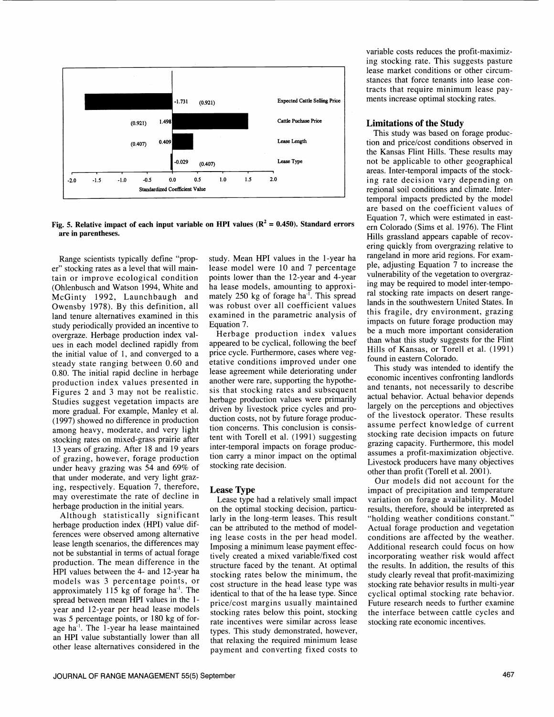

Fig. 5. Relative impact of each input variable on HPI values ( $\mathbb{R}^2 = 0.450$ ). Standard errors are in parentheses.

Range scientists typically define "proper" stocking rates as a level that will maintain or improve ecological condition (Ohlenbusch and Watson 1994, White and McGinty 1992, Launchbaugh and Owensby 1978). By this definition, all land tenure alternatives examined in this study periodically provided an incentive to<br>overgraze. Herbage production index values in each model declined rapidly from the initial value of 1, and converged to a steady state ranging between 0.60 and 0.80. The initial rapid decline in herbage production index values presented in Figures 2 and 3 may not be realistic. Studies suggest vegetation impacts are more gradual. For example, Manley et al. (1997) showed no difference in production among heavy, moderate, and very light stocking rates on mixed-grass prairie after 13 years of grazing. After 18 and 19 years of grazing, however, forage production under heavy grazing was 54 and 69% of that under moderate, and very light grazing, respectively. Equation 7, therefore, may overestimate the rate of decline in Lease type had a relatively small impact herbage production in the initial years.

Although statistically significant herbage production index (HPI) value differences were observed among alternative lease length scenarios, the differences may not be substantial in terms of actual forage production. The mean difference in the HPI values between the 4- and 12-year ha approximately 115 kg of forage ha'. The spread between mean HPI values in the 1 year and 12-year per head lease models was 5 percentage points, or 180 kg of forage ha<sup>-1</sup>. The 1-year ha lease maintained an HPI value substantially lower than all other lease alternatives considered in the

lease model were 10 and 7 percentage points lower than the 12-year and 4-year ha lease models, amounting to approximately 250 kg of forage ha'. This spread was robust over all coefficient values examined in the parametric analysis of Equation 7.

Herbage production index values appeared to be cyclical, following the beef price cycle. Furthermore, cases where vegetative conditions improved under one lease agreement while deteriorating under another were rare, supporting the hypothesis that stocking rates and subsequent herbage production values were primarily driven by livestock price cycles and production costs, not by future forage production concerns. This conclusion is consistent with Torell et al. (1991) suggesting stocking rate decision impacts on future<br>inter-temporal impacts on forage produce grazing capacity. Furthermore, this model inter-temporal impacts on forage production carry a minor impact on the optimal stocking rate decision.

#### Lease Type

models was 3 percentage points, or cost structure in the head lease type was on the optimal stocking decision, particularly in the long-term leases. This result can be attributed to the method of modeling lease costs in the per head model. Imposing a minimum lease payment effectively created a mixed variable/fixed cost structure faced by the tenant. At optimal stocking rates below the minimum, the identical to that of the ha lease type. Since price/cost margins usually maintained stocking rates below this point, stocking rate incentives were similar across lease types. This study demonstrated, however, that relaxing the required minimum lease payment and converting fixed costs to

variable costs reduces the profit-maximizing stocking rate. This suggests pasture lease market conditions or other circumstances that force tenants into lease con tracts that require minimum lease payments increase optimal stocking rates.

#### Limitations of the Study

study. Mean HPI values in the 1-year ha rangeland in more arid regions. For exam-This study was based on forage production and price/cost conditions observed in the Kansas Flint Hills. These results may not be applicable to other geographical areas. Inter-temporal impacts of the stocking rate decision vary depending on regional soil conditions and climate. Intertemporal impacts predicted by the model are based on the coefficient values of Equation 7, which were estimated in east ern Colorado (Sims et al. 1976). The Flint Hills grassland appears capable of recov- ering quickly from overgrazing relative to ple, adjusting Equation 7 to increase the vulnerability of the vegetation to overgrazing may be required to model inter-temporal stocking rate impacts on desert rangelands in the southwestern United States. In this fragile, dry environment, grazing impacts on future forage production may be a much more important consideration than what this study suggests for the Flint Hills of Kansas, or Torell et al. (1991) found in eastern Colorado.

> This study was intended to identify the economic incentives confronting landlords and tenants, not necessarily to describe actual behavior. Actual behavior depends largely on the perceptions and objectives of the livestock operator. These results assume perfect knowledge of current stocking rate decision impacts on future assumes a profit-maximization objective. Livestock producers have many objectives other than profit (Torell et al. 2001).

> Our models did not account for the impact of precipitation and temperature variation on forage availability. Model results, therefore, should be interpreted as "holding weather conditions constant." Actual forage production and vegetation conditions are affected by the weather. Additional research could focus on how incorporating weather risk would affect the results. In addition, the results of this study clearly reveal that profit-maximizing stocking rate behavior results in multi-year cyclical optimal stocking rate behavior. Future research needs to further examine the interface between cattle cycles and stocking rate economic incentives.